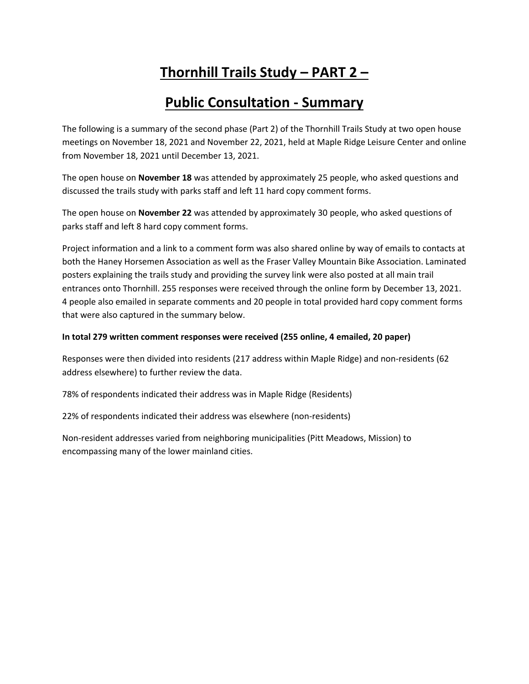# **Thornhill Trails Study – PART 2 –**

# **Public Consultation - Summary**

The following is a summary of the second phase (Part 2) of the Thornhill Trails Study at two open house meetings on November 18, 2021 and November 22, 2021, held at Maple Ridge Leisure Center and online from November 18, 2021 until December 13, 2021.

The open house on **November 18** was attended by approximately 25 people, who asked questions and discussed the trails study with parks staff and left 11 hard copy comment forms.

The open house on **November 22** was attended by approximately 30 people, who asked questions of parks staff and left 8 hard copy comment forms.

Project information and a link to a comment form was also shared online by way of emails to contacts at both the Haney Horsemen Association as well as the Fraser Valley Mountain Bike Association. Laminated posters explaining the trails study and providing the survey link were also posted at all main trail entrances onto Thornhill. 255 responses were received through the online form by December 13, 2021. 4 people also emailed in separate comments and 20 people in total provided hard copy comment forms that were also captured in the summary below.

#### **In total 279 written comment responses were received (255 online, 4 emailed, 20 paper)**

Responses were then divided into residents (217 address within Maple Ridge) and non-residents (62 address elsewhere) to further review the data.

78% of respondents indicated their address was in Maple Ridge (Residents)

22% of respondents indicated their address was elsewhere (non-residents)

Non-resident addresses varied from neighboring municipalities (Pitt Meadows, Mission) to encompassing many of the lower mainland cities.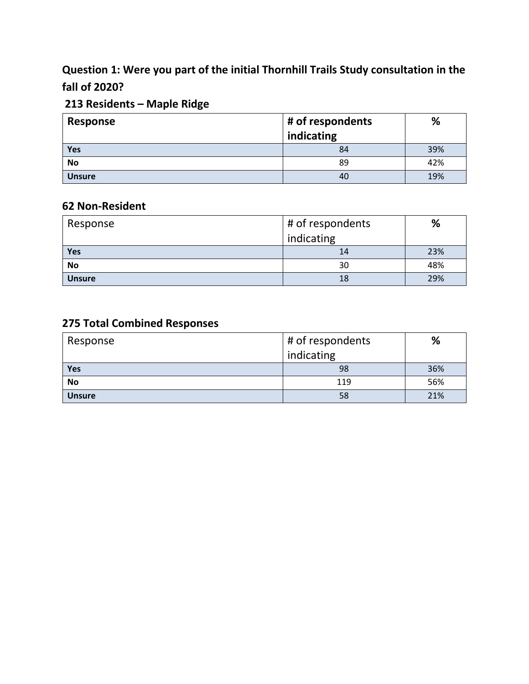### **Question 1: Were you part of the initial Thornhill Trails Study consultation in the fall of 2020?**

### **213 Residents – Maple Ridge**

| <b>Response</b> | # of respondents | %   |
|-----------------|------------------|-----|
|                 | indicating       |     |
| Yes             | 84               | 39% |
| <b>No</b>       | 89               | 42% |
| <b>Unsure</b>   | 40               | 19% |

### **62 Non-Resident**

| Response      | # of respondents | %   |
|---------------|------------------|-----|
|               | indicating       |     |
| Yes           | 14               | 23% |
| <b>No</b>     | 30               | 48% |
| <b>Unsure</b> | 18               | 29% |

### **275 Total Combined Responses**

| Response      | # of respondents | %   |
|---------------|------------------|-----|
|               | indicating       |     |
| <b>Yes</b>    | 98               | 36% |
| <b>No</b>     | 119              | 56% |
| <b>Unsure</b> | 58               | 21% |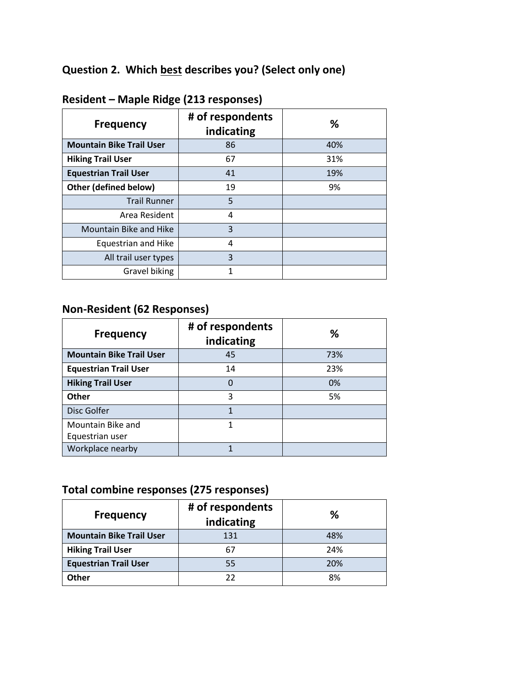# **Question 2. Which best describes you? (Select only one)**

| <b>Frequency</b>                | # of respondents<br>indicating | %   |
|---------------------------------|--------------------------------|-----|
| <b>Mountain Bike Trail User</b> | 86                             | 40% |
| <b>Hiking Trail User</b>        | 67                             | 31% |
| <b>Equestrian Trail User</b>    | 41                             | 19% |
| Other (defined below)           | 19                             | 9%  |
| <b>Trail Runner</b>             | 5                              |     |
| Area Resident                   | 4                              |     |
| <b>Mountain Bike and Hike</b>   | 3                              |     |
| <b>Equestrian and Hike</b>      | 4                              |     |
| All trail user types            | 3                              |     |
| Gravel biking                   |                                |     |

### **Resident – Maple Ridge (213 responses)**

### **Non-Resident (62 Responses)**

| <b>Frequency</b>                | # of respondents<br>indicating | ℅   |
|---------------------------------|--------------------------------|-----|
| <b>Mountain Bike Trail User</b> | 45                             | 73% |
| <b>Equestrian Trail User</b>    | 14                             | 23% |
| <b>Hiking Trail User</b>        | 0                              | 0%  |
| Other                           | 3                              | 5%  |
| Disc Golfer                     | 1                              |     |
| Mountain Bike and               | 1                              |     |
| Equestrian user                 |                                |     |
| Workplace nearby                |                                |     |

# **Total combine responses (275 responses)**

| <b>Frequency</b>                | # of respondents<br>indicating | ℅   |
|---------------------------------|--------------------------------|-----|
| <b>Mountain Bike Trail User</b> | 131                            | 48% |
| <b>Hiking Trail User</b>        | 67                             | 24% |
| <b>Equestrian Trail User</b>    | 55                             | 20% |
| <b>Other</b>                    | 22                             | 8%  |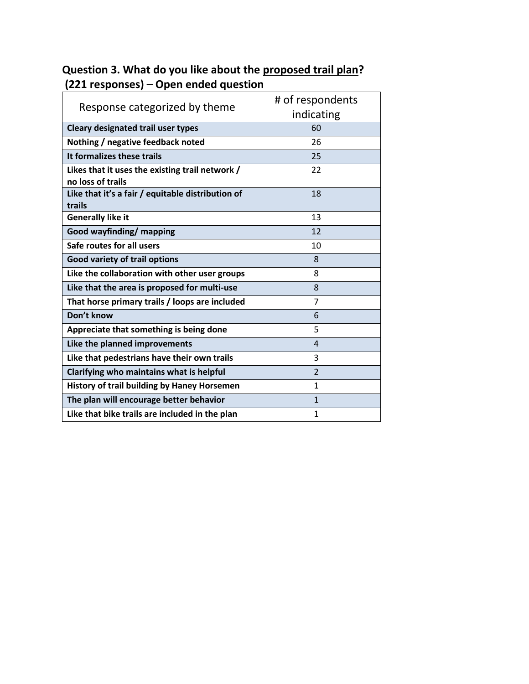| Response categorized by theme                                        | # of respondents<br>indicating |
|----------------------------------------------------------------------|--------------------------------|
| Cleary designated trail user types                                   | 60                             |
| Nothing / negative feedback noted                                    | 26                             |
| It formalizes these trails                                           | 25                             |
| Likes that it uses the existing trail network /<br>no loss of trails | 22                             |
| Like that it's a fair / equitable distribution of<br>trails          | 18                             |
| <b>Generally like it</b>                                             | 13                             |
| <b>Good wayfinding/ mapping</b>                                      | 12                             |
| Safe routes for all users                                            | 10                             |
| <b>Good variety of trail options</b>                                 | 8                              |
| Like the collaboration with other user groups                        | 8                              |
| Like that the area is proposed for multi-use                         | 8                              |
| That horse primary trails / loops are included                       | $\overline{7}$                 |
| Don't know                                                           | 6                              |
| Appreciate that something is being done                              | 5                              |
| Like the planned improvements                                        | $\overline{4}$                 |
| Like that pedestrians have their own trails                          | 3                              |
| Clarifying who maintains what is helpful                             | $\overline{2}$                 |
| <b>History of trail building by Haney Horsemen</b>                   | 1                              |
| The plan will encourage better behavior                              | $\mathbf{1}$                   |
| Like that bike trails are included in the plan                       | 1                              |

### **Question 3. What do you like about the proposed trail plan? (221 responses) – Open ended question**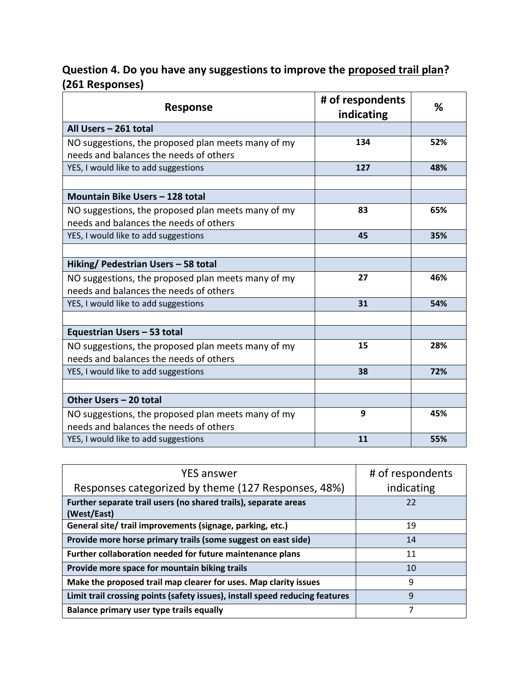### **Question 4. Do you have any suggestions to improve the proposed trail plan? (261 Responses)**

| <b>Response</b>                                    | # of respondents<br>indicating | %   |
|----------------------------------------------------|--------------------------------|-----|
| All Users - 261 total                              |                                |     |
| NO suggestions, the proposed plan meets many of my | 134                            | 52% |
| needs and balances the needs of others             |                                |     |
| YES, I would like to add suggestions               | 127                            | 48% |
|                                                    |                                |     |
| Mountain Bike Users - 128 total                    |                                |     |
| NO suggestions, the proposed plan meets many of my | 83                             | 65% |
| needs and balances the needs of others             |                                |     |
| YES, I would like to add suggestions               | 45                             | 35% |
|                                                    |                                |     |
| Hiking/ Pedestrian Users - 58 total                |                                |     |
| NO suggestions, the proposed plan meets many of my | 27                             | 46% |
| needs and balances the needs of others             |                                |     |
| YES, I would like to add suggestions               | 31                             | 54% |
|                                                    |                                |     |
| Equestrian Users - 53 total                        |                                |     |
| NO suggestions, the proposed plan meets many of my | 15                             | 28% |
| needs and balances the needs of others             |                                |     |
| YES, I would like to add suggestions               | 38                             | 72% |
|                                                    |                                |     |
| Other Users - 20 total                             |                                |     |
| NO suggestions, the proposed plan meets many of my | 9                              | 45% |
| needs and balances the needs of others             |                                |     |
| YES, I would like to add suggestions               | 11                             | 55% |

| <b>YES answer</b>                                                              | # of respondents |
|--------------------------------------------------------------------------------|------------------|
| Responses categorized by theme (127 Responses, 48%)                            | indicating       |
| Further separate trail users (no shared trails), separate areas<br>(West/East) | 22               |
| General site/trail improvements (signage, parking, etc.)                       | 19               |
| Provide more horse primary trails (some suggest on east side)                  | 14               |
| Further collaboration needed for future maintenance plans                      | 11               |
| Provide more space for mountain biking trails                                  | 10               |
| Make the proposed trail map clearer for uses. Map clarity issues               | 9                |
| Limit trail crossing points (safety issues), install speed reducing features   | 9                |
| Balance primary user type trails equally                                       | 7                |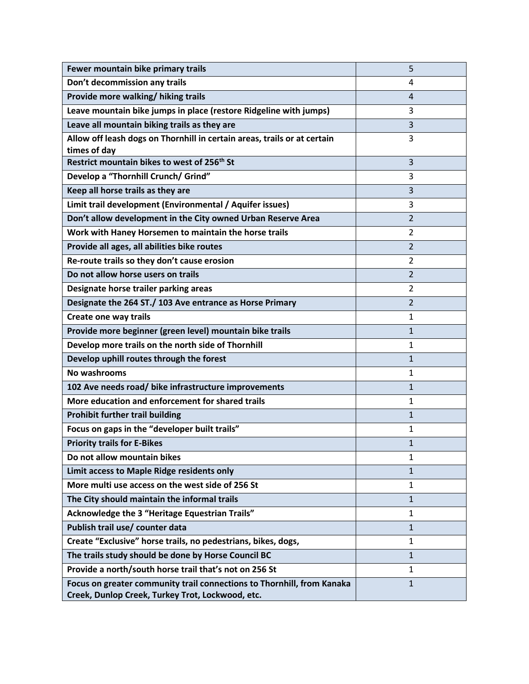| Fewer mountain bike primary trails                                       | 5              |
|--------------------------------------------------------------------------|----------------|
| Don't decommission any trails                                            | 4              |
| Provide more walking/ hiking trails                                      | 4              |
| Leave mountain bike jumps in place (restore Ridgeline with jumps)        | 3              |
| Leave all mountain biking trails as they are                             | 3              |
| Allow off leash dogs on Thornhill in certain areas, trails or at certain | 3              |
| times of day                                                             |                |
| Restrict mountain bikes to west of 256 <sup>th</sup> St                  | 3              |
| Develop a "Thornhill Crunch/ Grind"                                      | 3              |
| Keep all horse trails as they are                                        | 3              |
| Limit trail development (Environmental / Aquifer issues)                 | 3              |
| Don't allow development in the City owned Urban Reserve Area             | $\overline{2}$ |
| Work with Haney Horsemen to maintain the horse trails                    | $\overline{2}$ |
| Provide all ages, all abilities bike routes                              | $\overline{2}$ |
| Re-route trails so they don't cause erosion                              | $\overline{2}$ |
| Do not allow horse users on trails                                       | $\overline{2}$ |
| Designate horse trailer parking areas                                    | 2              |
| Designate the 264 ST./ 103 Ave entrance as Horse Primary                 | $\overline{2}$ |
| Create one way trails                                                    | 1              |
| Provide more beginner (green level) mountain bike trails                 | 1              |
| Develop more trails on the north side of Thornhill                       | 1              |
| Develop uphill routes through the forest                                 | 1              |
| No washrooms                                                             | 1              |
| 102 Ave needs road/ bike infrastructure improvements                     | $\mathbf{1}$   |
| More education and enforcement for shared trails                         | 1              |
| <b>Prohibit further trail building</b>                                   | 1              |
| Focus on gaps in the "developer built trails"                            | 1              |
| <b>Priority trails for E-Bikes</b>                                       | 1              |
| Do not allow mountain bikes                                              | 1              |
| Limit access to Maple Ridge residents only                               | $\mathbf{1}$   |
| More multi use access on the west side of 256 St                         | $\mathbf{1}$   |
| The City should maintain the informal trails                             | $\mathbf{1}$   |
| Acknowledge the 3 "Heritage Equestrian Trails"                           | 1              |
| Publish trail use/ counter data                                          | $\mathbf{1}$   |
| Create "Exclusive" horse trails, no pedestrians, bikes, dogs,            | 1              |
| The trails study should be done by Horse Council BC                      | $\mathbf{1}$   |
| Provide a north/south horse trail that's not on 256 St                   | $\mathbf{1}$   |
| Focus on greater community trail connections to Thornhill, from Kanaka   | $\mathbf{1}$   |
| Creek, Dunlop Creek, Turkey Trot, Lockwood, etc.                         |                |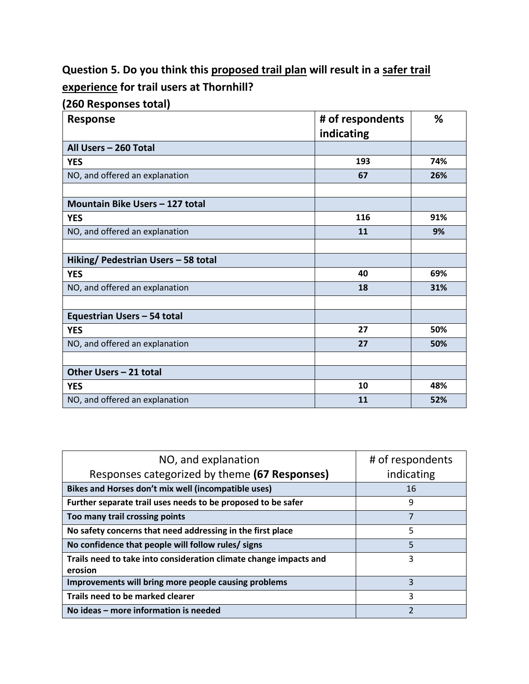# **Question 5. Do you think this proposed trail plan will result in a safer trail experience for trail users at Thornhill?**

**(260 Responses total)**

| <b>Response</b>                     | # of respondents<br>indicating | %   |
|-------------------------------------|--------------------------------|-----|
| All Users - 260 Total               |                                |     |
| <b>YES</b>                          | 193                            | 74% |
| NO, and offered an explanation      | 67                             | 26% |
|                                     |                                |     |
| Mountain Bike Users - 127 total     |                                |     |
| <b>YES</b>                          | 116                            | 91% |
| NO, and offered an explanation      | 11                             | 9%  |
|                                     |                                |     |
| Hiking/ Pedestrian Users - 58 total |                                |     |
| <b>YES</b>                          | 40                             | 69% |
| NO, and offered an explanation      | 18                             | 31% |
|                                     |                                |     |
| Equestrian Users - 54 total         |                                |     |
| <b>YES</b>                          | 27                             | 50% |
| NO, and offered an explanation      | 27                             | 50% |
|                                     |                                |     |
| Other Users - 21 total              |                                |     |
| <b>YES</b>                          | 10                             | 48% |
| NO, and offered an explanation      | 11                             | 52% |

| NO, and explanation<br>Responses categorized by theme (67 Responses)         | # of respondents<br>indicating |
|------------------------------------------------------------------------------|--------------------------------|
| Bikes and Horses don't mix well (incompatible uses)                          | 16                             |
| Further separate trail uses needs to be proposed to be safer                 | 9                              |
| Too many trail crossing points                                               | 7                              |
| No safety concerns that need addressing in the first place                   | 5                              |
| No confidence that people will follow rules/ signs                           | 5                              |
| Trails need to take into consideration climate change impacts and<br>erosion | 3                              |
| Improvements will bring more people causing problems                         | 3                              |
| Trails need to be marked clearer                                             | 3                              |
| No ideas - more information is needed                                        | $\overline{2}$                 |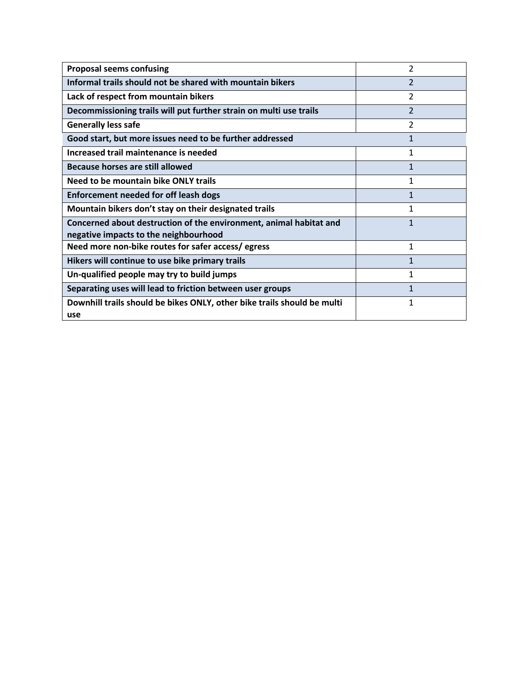| <b>Proposal seems confusing</b>                                                                             | $\overline{2}$ |
|-------------------------------------------------------------------------------------------------------------|----------------|
| Informal trails should not be shared with mountain bikers                                                   | $\overline{2}$ |
| Lack of respect from mountain bikers                                                                        | $\mathcal{P}$  |
| Decommissioning trails will put further strain on multi use trails                                          | $\overline{2}$ |
| <b>Generally less safe</b>                                                                                  | $\overline{2}$ |
| Good start, but more issues need to be further addressed                                                    | $\mathbf{1}$   |
| Increased trail maintenance is needed                                                                       | 1              |
| Because horses are still allowed                                                                            | $\mathbf{1}$   |
| Need to be mountain bike ONLY trails                                                                        | 1              |
| <b>Enforcement needed for off leash dogs</b>                                                                | $\mathbf{1}$   |
| Mountain bikers don't stay on their designated trails                                                       | 1              |
| Concerned about destruction of the environment, animal habitat and<br>negative impacts to the neighbourhood | $\mathbf{1}$   |
| Need more non-bike routes for safer access/egress                                                           | 1              |
| Hikers will continue to use bike primary trails                                                             | $\mathbf{1}$   |
| Un-qualified people may try to build jumps                                                                  | 1              |
| Separating uses will lead to friction between user groups                                                   | 1              |
| Downhill trails should be bikes ONLY, other bike trails should be multi<br>use                              | 1              |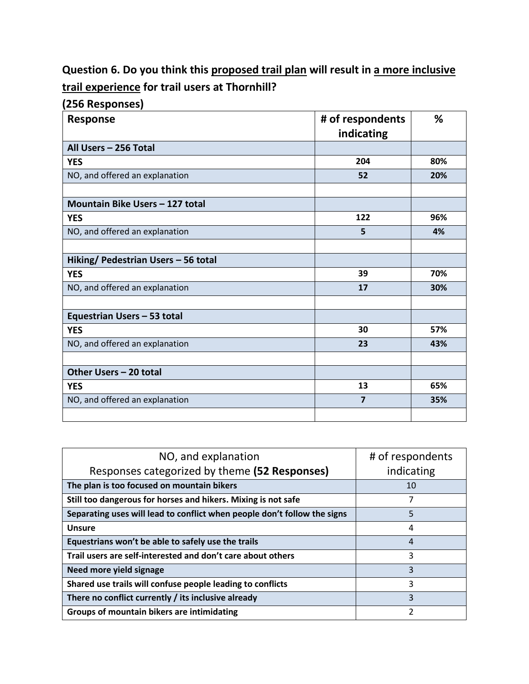# **Question 6. Do you think this proposed trail plan will result in a more inclusive trail experience for trail users at Thornhill?**

#### **(256 Responses)**

| <b>Response</b>                     | # of respondents<br>indicating | %   |
|-------------------------------------|--------------------------------|-----|
| All Users - 256 Total               |                                |     |
| <b>YES</b>                          | 204                            | 80% |
| NO, and offered an explanation      | 52                             | 20% |
|                                     |                                |     |
| Mountain Bike Users - 127 total     |                                |     |
| <b>YES</b>                          | 122                            | 96% |
| NO, and offered an explanation      | 5                              | 4%  |
|                                     |                                |     |
| Hiking/ Pedestrian Users - 56 total |                                |     |
| <b>YES</b>                          | 39                             | 70% |
| NO, and offered an explanation      | 17                             | 30% |
|                                     |                                |     |
| Equestrian Users - 53 total         |                                |     |
| <b>YES</b>                          | 30                             | 57% |
| NO, and offered an explanation      | 23                             | 43% |
|                                     |                                |     |
| Other Users - 20 total              |                                |     |
| <b>YES</b>                          | 13                             | 65% |
| NO, and offered an explanation      | $\overline{7}$                 | 35% |
|                                     |                                |     |

| NO, and explanation<br>Responses categorized by theme (52 Responses)     | # of respondents<br>indicating |
|--------------------------------------------------------------------------|--------------------------------|
| The plan is too focused on mountain bikers                               | 10                             |
| Still too dangerous for horses and hikers. Mixing is not safe            | 7                              |
| Separating uses will lead to conflict when people don't follow the signs | 5                              |
| <b>Unsure</b>                                                            | 4                              |
| Equestrians won't be able to safely use the trails                       | 4                              |
| Trail users are self-interested and don't care about others              | 3                              |
| Need more yield signage                                                  | 3                              |
| Shared use trails will confuse people leading to conflicts               | 3                              |
| There no conflict currently / its inclusive already                      | 3                              |
| Groups of mountain bikers are intimidating                               | 2                              |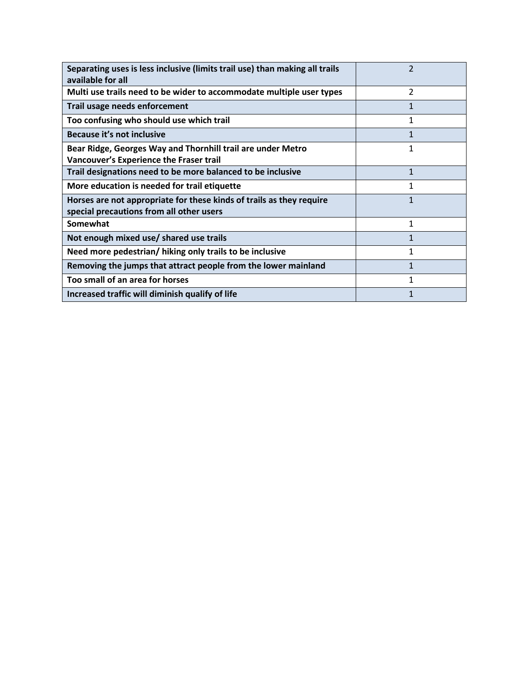| Separating uses is less inclusive (limits trail use) than making all trails<br>available for all                 | $\overline{2}$ |
|------------------------------------------------------------------------------------------------------------------|----------------|
| Multi use trails need to be wider to accommodate multiple user types                                             | $\overline{2}$ |
| Trail usage needs enforcement                                                                                    |                |
| Too confusing who should use which trail                                                                         | 1              |
| Because it's not inclusive                                                                                       | 1              |
| Bear Ridge, Georges Way and Thornhill trail are under Metro<br>Vancouver's Experience the Fraser trail           | $\mathbf{1}$   |
| Trail designations need to be more balanced to be inclusive                                                      | $\mathbf{1}$   |
| More education is needed for trail etiquette                                                                     | 1              |
| Horses are not appropriate for these kinds of trails as they require<br>special precautions from all other users | 1              |
| Somewhat                                                                                                         | $\mathbf{1}$   |
| Not enough mixed use/ shared use trails                                                                          |                |
| Need more pedestrian/ hiking only trails to be inclusive                                                         | 1              |
| Removing the jumps that attract people from the lower mainland                                                   | 1              |
| Too small of an area for horses                                                                                  | $\mathbf{1}$   |
| Increased traffic will diminish qualify of life                                                                  | 1              |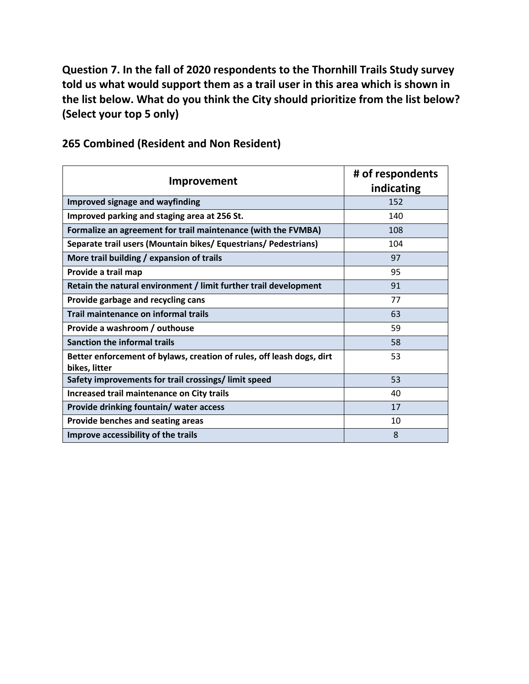**Question 7. In the fall of 2020 respondents to the Thornhill Trails Study survey told us what would support them as a trail user in this area which is shown in the list below. What do you think the City should prioritize from the list below? (Select your top 5 only)**

| Improvement                                                                            | # of respondents<br>indicating |
|----------------------------------------------------------------------------------------|--------------------------------|
| <b>Improved signage and wayfinding</b>                                                 | 152                            |
| Improved parking and staging area at 256 St.                                           | 140                            |
| Formalize an agreement for trail maintenance (with the FVMBA)                          | 108                            |
| Separate trail users (Mountain bikes/ Equestrians/ Pedestrians)                        | 104                            |
| More trail building / expansion of trails                                              | 97                             |
| Provide a trail map                                                                    | 95                             |
| Retain the natural environment / limit further trail development                       | 91                             |
| Provide garbage and recycling cans                                                     | 77                             |
| Trail maintenance on informal trails                                                   | 63                             |
| Provide a washroom / outhouse                                                          | 59                             |
| <b>Sanction the informal trails</b>                                                    | 58                             |
| Better enforcement of bylaws, creation of rules, off leash dogs, dirt<br>bikes, litter | 53                             |
| Safety improvements for trail crossings/limit speed                                    | 53                             |
| Increased trail maintenance on City trails                                             | 40                             |
| Provide drinking fountain/ water access                                                | 17                             |
| Provide benches and seating areas                                                      | 10                             |
| Improve accessibility of the trails                                                    | 8                              |

#### **265 Combined (Resident and Non Resident)**